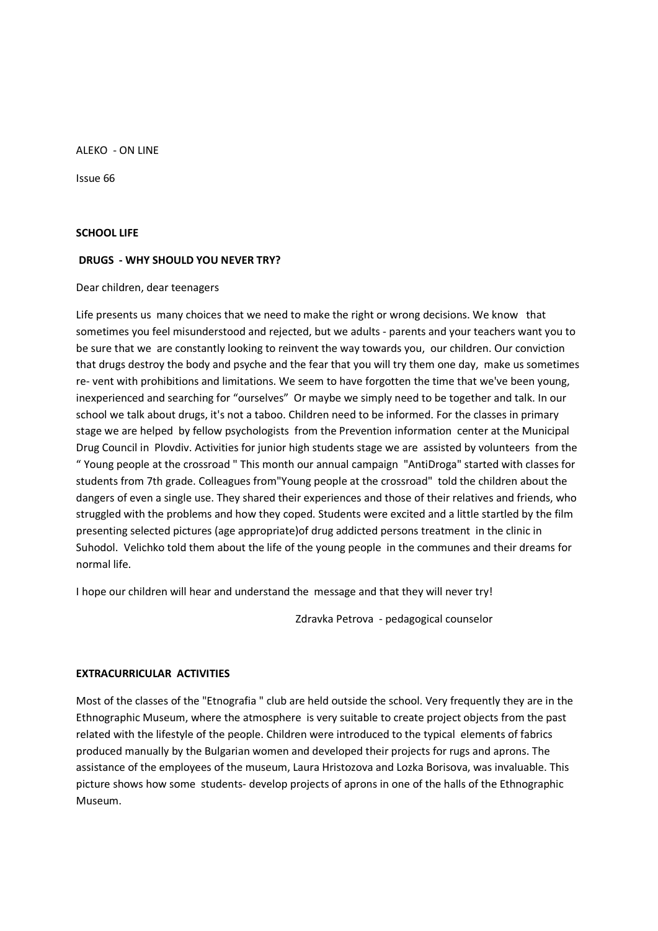ALEKO - ON LINE

Issue 66

### **SCHOOL LIFE**

## **DRUGS - WHY SHOULD YOU NEVER TRY?**

Dear children, dear teenagers

Life presents us many choices that we need to make the right or wrong decisions. We know that sometimes you feel misunderstood and rejected, but we adults - parents and your teachers want you to be sure that we are constantly looking to reinvent the way towards you, our children. Our conviction that drugs destroy the body and psyche and the fear that you will try them one day, make us sometimes re- vent with prohibitions and limitations. We seem to have forgotten the time that we've been young, inexperienced and searching for "ourselves" Or maybe we simply need to be together and talk. In our school we talk about drugs, it's not a taboo. Children need to be informed. For the classes in primary stage we are helped by fellow psychologists from the Prevention information center at the Municipal Drug Council in Plovdiv. Activities for junior high students stage we are assisted by volunteers from the " Young people at the crossroad " This month our annual campaign "AntiDroga" started with classes for students from 7th grade. Colleagues from"Young people at the crossroad" told the children about the dangers of even a single use. They shared their experiences and those of their relatives and friends, who struggled with the problems and how they coped. Students were excited and a little startled by the film presenting selected pictures (age appropriate)of drug addicted persons treatment in the clinic in Suhodol. Velichko told them about the life of the young people in the communes and their dreams for normal life.

I hope our children will hear and understand the message and that they will never try!

Zdravka Petrova - pedagogical counselor

## **EXTRACURRICULAR ACTIVITIES**

Most of the classes of the "Etnografia " club are held outside the school. Very frequently they are in the Ethnographic Museum, where the atmosphere is very suitable to create project objects from the past related with the lifestyle of the people. Children were introduced to the typical elements of fabrics produced manually by the Bulgarian women and developed their projects for rugs and aprons. The assistance of the employees of the museum, Laura Hristozova and Lozka Borisova, was invaluable. This picture shows how some students- develop projects of aprons in one of the halls of the Ethnographic Museum.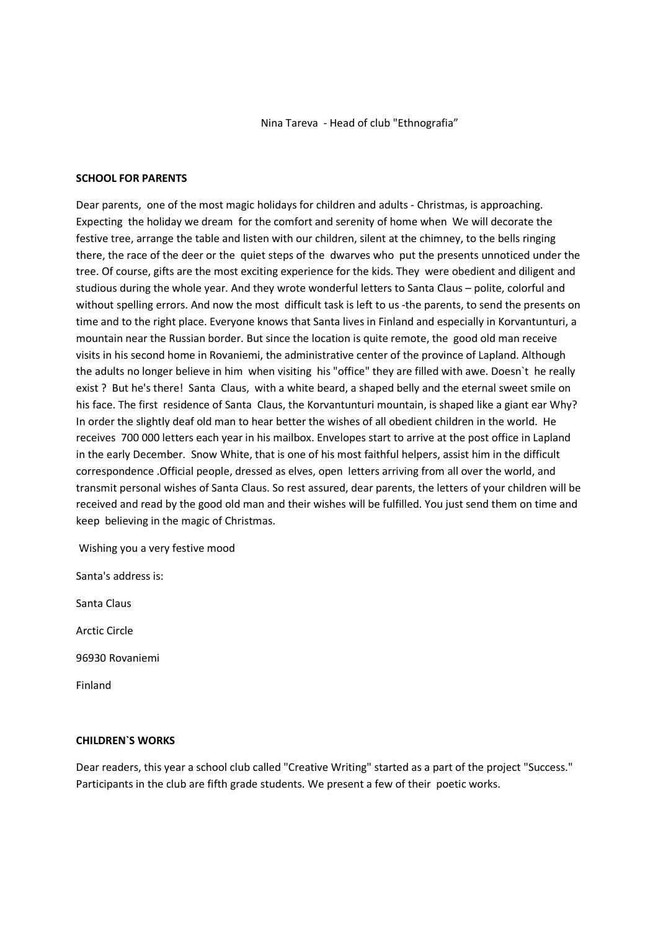Nina Tareva - Head of club "Ethnografia"

# **SCHOOL FOR PARENTS**

Dear parents, one of the most magic holidays for children and adults - Christmas, is approaching. Expecting the holiday we dream for the comfort and serenity of home when We will decorate the festive tree, arrange the table and listen with our children, silent at the chimney, to the bells ringing there, the race of the deer or the quiet steps of the dwarves who put the presents unnoticed under the tree. Of course, gifts are the most exciting experience for the kids. They were obedient and diligent and studious during the whole year. And they wrote wonderful letters to Santa Claus – polite, colorful and without spelling errors. And now the most difficult task is left to us -the parents, to send the presents on time and to the right place. Everyone knows that Santa lives in Finland and especially in Korvantunturi, a mountain near the Russian border. But since the location is quite remote, the good old man receive visits in his second home in Rovaniemi, the administrative center of the province of Lapland. Although the adults no longer believe in him when visiting his "office" they are filled with awe. Doesn`t he really exist ? But he's there! Santa Claus, with a white beard, a shaped belly and the eternal sweet smile on his face. The first residence of Santa Claus, the Korvantunturi mountain, is shaped like a giant ear Why? In order the slightly deaf old man to hear better the wishes of all obedient children in the world. He receives 700 000 letters each year in his mailbox. Envelopes start to arrive at the post office in Lapland in the early December. Snow White, that is one of his most faithful helpers, assist him in the difficult correspondence .Official people, dressed as elves, open letters arriving from all over the world, and transmit personal wishes of Santa Claus. So rest assured, dear parents, the letters of your children will be received and read by the good old man and their wishes will be fulfilled. You just send them on time and keep believing in the magic of Christmas.

Wishing you a very festive mood

Santa's address is:

Santa Claus

Arctic Circle

96930 Rovaniemi

Finland

## **CHILDREN`S WORKS**

Dear readers, this year a school club called "Creative Writing" started as a part of the project "Success." Participants in the club are fifth grade students. We present a few of their poetic works.